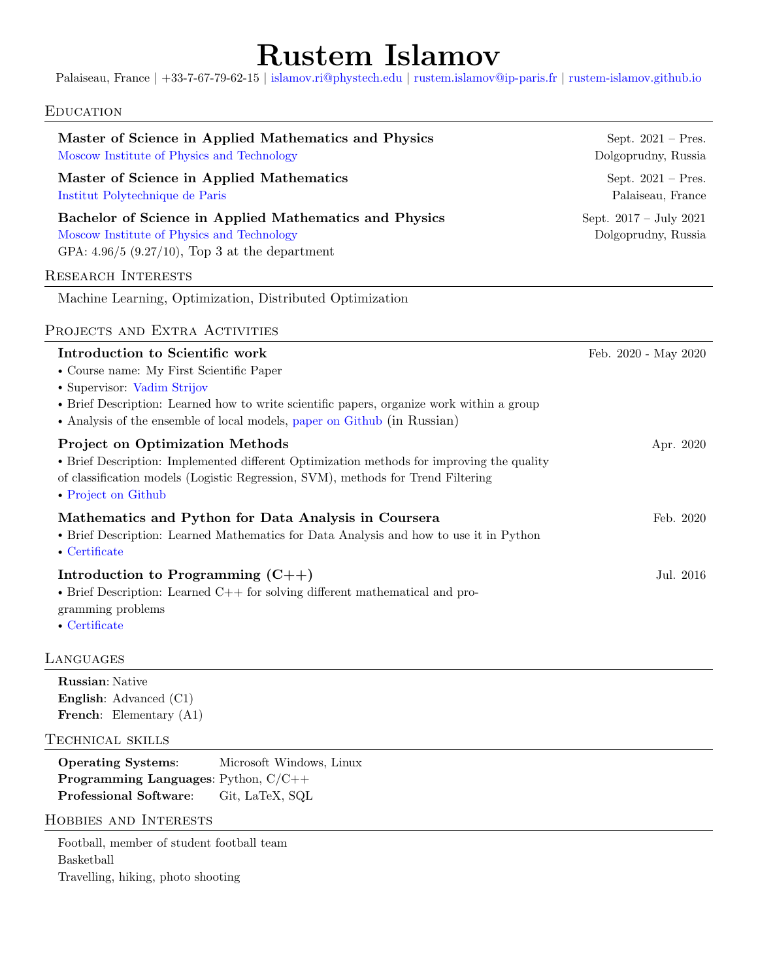# Rustem Islamov

Palaiseau, France | +33-7-67-79-62-15 | [islamov.ri@phystech.edu](mailto:islamov.ri@phystech.edu) | [rustem.islamov@ip-paris.fr](mailto:rustem.islamov@ip-paris.fr) | [rustem-islamov.github.io](https://rustem-islamov.github.io/)

## **EDUCATION**

| Master of Science in Applied Mathematics and Physics<br>Moscow Institute of Physics and Technology                                                                                                                                                                                  | Sept. $2021$ – Pres.<br>Dolgoprudny, Russia   |
|-------------------------------------------------------------------------------------------------------------------------------------------------------------------------------------------------------------------------------------------------------------------------------------|-----------------------------------------------|
| Master of Science in Applied Mathematics<br>Institut Polytechnique de Paris                                                                                                                                                                                                         | Sept. $2021$ – Pres.<br>Palaiseau, France     |
| Bachelor of Science in Applied Mathematics and Physics<br>Moscow Institute of Physics and Technology<br>GPA: $4.96/5$ (9.27/10), Top 3 at the department                                                                                                                            | Sept. 2017 - July 2021<br>Dolgoprudny, Russia |
| <b>RESEARCH INTERESTS</b>                                                                                                                                                                                                                                                           |                                               |
| Machine Learning, Optimization, Distributed Optimization                                                                                                                                                                                                                            |                                               |
| PROJECTS AND EXTRA ACTIVITIES                                                                                                                                                                                                                                                       |                                               |
| Introduction to Scientific work<br>• Course name: My First Scientific Paper<br>• Supervisor: Vadim Strijov<br>• Brief Description: Learned how to write scientific papers, organize work within a group<br>• Analysis of the ensemble of local models, paper on Github (in Russian) | Feb. 2020 - May 2020                          |
| <b>Project on Optimization Methods</b><br>• Brief Description: Implemented different Optimization methods for improving the quality<br>of classification models (Logistic Regression, SVM), methods for Trend Filtering<br>• Project on Github                                      | Apr. 2020                                     |
| Mathematics and Python for Data Analysis in Coursera<br>• Brief Description: Learned Mathematics for Data Analysis and how to use it in Python<br>$\bullet$ Certificate                                                                                                             | Feb. 2020                                     |
| Introduction to Programming $(C++)$<br>$\bullet$ Brief Description: Learned C++ for solving different mathematical and pro-<br>gramming problems<br>$\bullet$ Certificate                                                                                                           | Jul. 2016                                     |
| LANGUAGES                                                                                                                                                                                                                                                                           |                                               |
| <b>Russian: Native</b><br><b>English:</b> Advanced (C1)<br>French: Elementary (A1)                                                                                                                                                                                                  |                                               |
| TECHNICAL SKILLS                                                                                                                                                                                                                                                                    |                                               |
| <b>Operating Systems:</b><br>Microsoft Windows, Linux<br><b>Programming Languages:</b> Python, $C/C++$<br><b>Professional Software:</b><br>Git, LaTeX, SQL                                                                                                                          |                                               |
| <b>HOBBIES AND INTERESTS</b>                                                                                                                                                                                                                                                        |                                               |
| Football, member of student football team<br>Basketball<br>Travelling, hiking, photo shooting                                                                                                                                                                                       |                                               |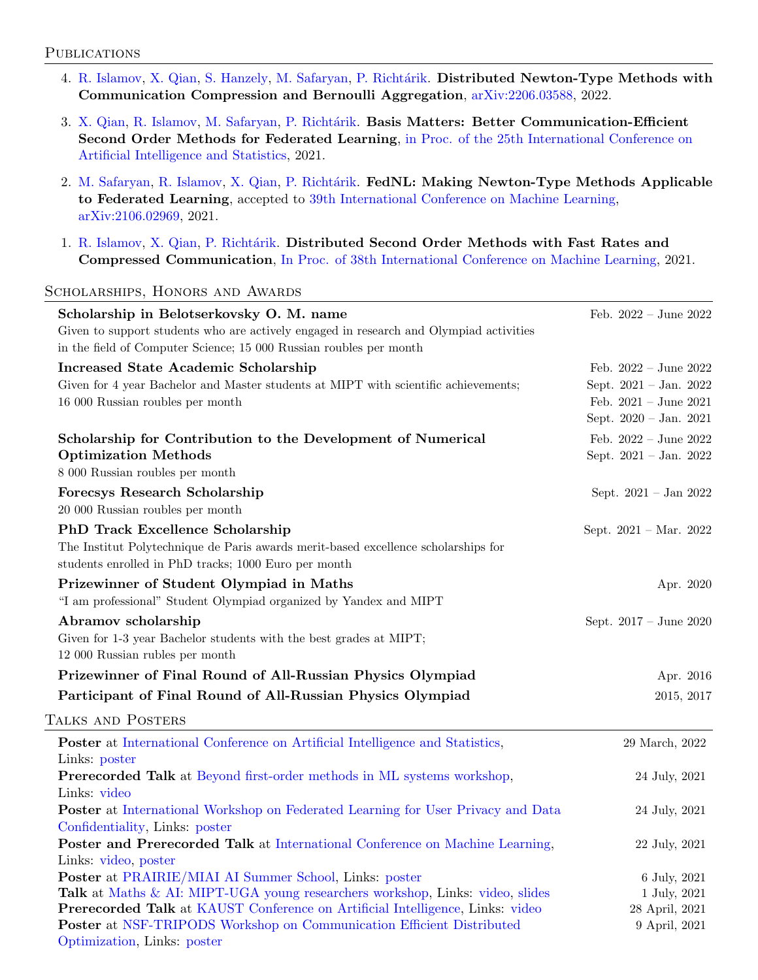#### **PUBLICATIONS**

- 4. [R. Islamov,](https://rustem-islamov.github.io) [X. Qian,](https://qianxunk.github.io/) [S. Hanzely,](https://slavomir-hanzely.github.io) [M. Safaryan,](https://mher-safaryan.github.io/) P. Richtárik. Distributed Newton-Type Methods with Communication Compression and Bernoulli Aggregation, [arXiv:2206.03588,](https://arxiv.org/abs/2206.03588) 2022.
- 3. [X. Qian,](https://qianxunk.github.io/) [R. Islamov,](https://rustem-islamov.github.io) [M. Safaryan,](https://mher-safaryan.github.io/) P. Richtárik. Basis Matters: Better Communication-Efficient Second Order Methods for Federated Learning, [in Proc. of the 25th International Conference on](https://proceedings.mlr.press/v151/qian22a.html) [Artificial Intelligence and Statistics,](https://proceedings.mlr.press/v151/qian22a.html) 2021.
- 2. [M. Safaryan,](https://mher-safaryan.github.io/) [R. Islamov,](https://rustem-islamov.github.io) [X. Qian,](https://qianxunk.github.io/) P. Richtárik. FedNL: Making Newton-Type Methods Applicable to Federated Learning, accepted to [39th International Conference on Machine Learning,](https://icml.cc/Conferences/2022/AcceptedPapersInitial) [arXiv:2106.02969,](https://arxiv.org/abs/2106.02969) 2021.
- 1. [R. Islamov,](https://rustem-islamov.github.io) [X. Qian,](https://qianxunk.github.io/) P. Richtárik. Distributed Second Order Methods with Fast Rates and Compressed Communication, [In Proc. of 38th International Conference on Machine Learning,](http://proceedings.mlr.press/v139/islamov21a.html) 2021.

#### Scholarships, Honors and Awards

| Scholarship in Belotserkovsky O. M. name                                                              | Feb. $2022 - June 2022$          |
|-------------------------------------------------------------------------------------------------------|----------------------------------|
| Given to support students who are actively engaged in research and Olympiad activities                |                                  |
| in the field of Computer Science; 15 000 Russian roubles per month                                    |                                  |
| <b>Increased State Academic Scholarship</b>                                                           | Feb. $2022 - June 2022$          |
| Given for 4 year Bachelor and Master students at MIPT with scientific achievements;                   | Sept. 2021 - Jan. 2022           |
| 16 000 Russian roubles per month                                                                      | Feb. $2021 - June 2021$          |
|                                                                                                       | Sept. 2020 - Jan. 2021           |
| Scholarship for Contribution to the Development of Numerical                                          | Feb. $2022 - June 2022$          |
| <b>Optimization Methods</b>                                                                           | Sept. 2021 - Jan. 2022           |
| 8 000 Russian roubles per month                                                                       |                                  |
| <b>Forecsys Research Scholarship</b>                                                                  | Sept. 2021 - Jan 2022            |
| 20 000 Russian roubles per month                                                                      |                                  |
| <b>PhD Track Excellence Scholarship</b>                                                               | Sept. $2021 - \text{Mar. } 2022$ |
| The Institut Polytechnique de Paris awards merit-based excellence scholarships for                    |                                  |
| students enrolled in PhD tracks; 1000 Euro per month                                                  |                                  |
| Prizewinner of Student Olympiad in Maths                                                              | Apr. 2020                        |
| "I am professional" Student Olympiad organized by Yandex and MIPT                                     |                                  |
|                                                                                                       |                                  |
| Abramov scholarship                                                                                   | Sept. 2017 - June 2020           |
| Given for 1-3 year Bachelor students with the best grades at MIPT;<br>12 000 Russian rubles per month |                                  |
|                                                                                                       |                                  |
| Prizewinner of Final Round of All-Russian Physics Olympiad                                            | Apr. 2016                        |
| Participant of Final Round of All-Russian Physics Olympiad                                            | 2015, 2017                       |
| TALKS AND POSTERS                                                                                     |                                  |
| Poster at International Conference on Artificial Intelligence and Statistics,                         | 29 March, 2022                   |
| Links: poster                                                                                         |                                  |
| Prerecorded Talk at Beyond first-order methods in ML systems workshop,                                | 24 July, 2021                    |
| Links: video                                                                                          |                                  |
| <b>Poster at International Workshop on Federated Learning for User Privacy and Data</b>               | 24 July, 2021                    |
| Confidentiality, Links: poster                                                                        |                                  |
| Poster and Prerecorded Talk at International Conference on Machine Learning,                          | 22 July, 2021                    |
| Links: video, poster                                                                                  |                                  |
| Poster at PRAIRIE/MIAI AI Summer School, Links: poster                                                | 6 July, 2021                     |
| Talk at Maths & AI: MIPT-UGA young researchers workshop, Links: video, slides                         | 1 July, 2021                     |
| Prerecorded Talk at KAUST Conference on Artificial Intelligence, Links: video                         | 28 April, 2021                   |
| <b>Poster at NSF-TRIPODS Workshop on Communication Efficient Distributed</b>                          | 9 April, 2021                    |
| Optimization, Links: poster                                                                           |                                  |